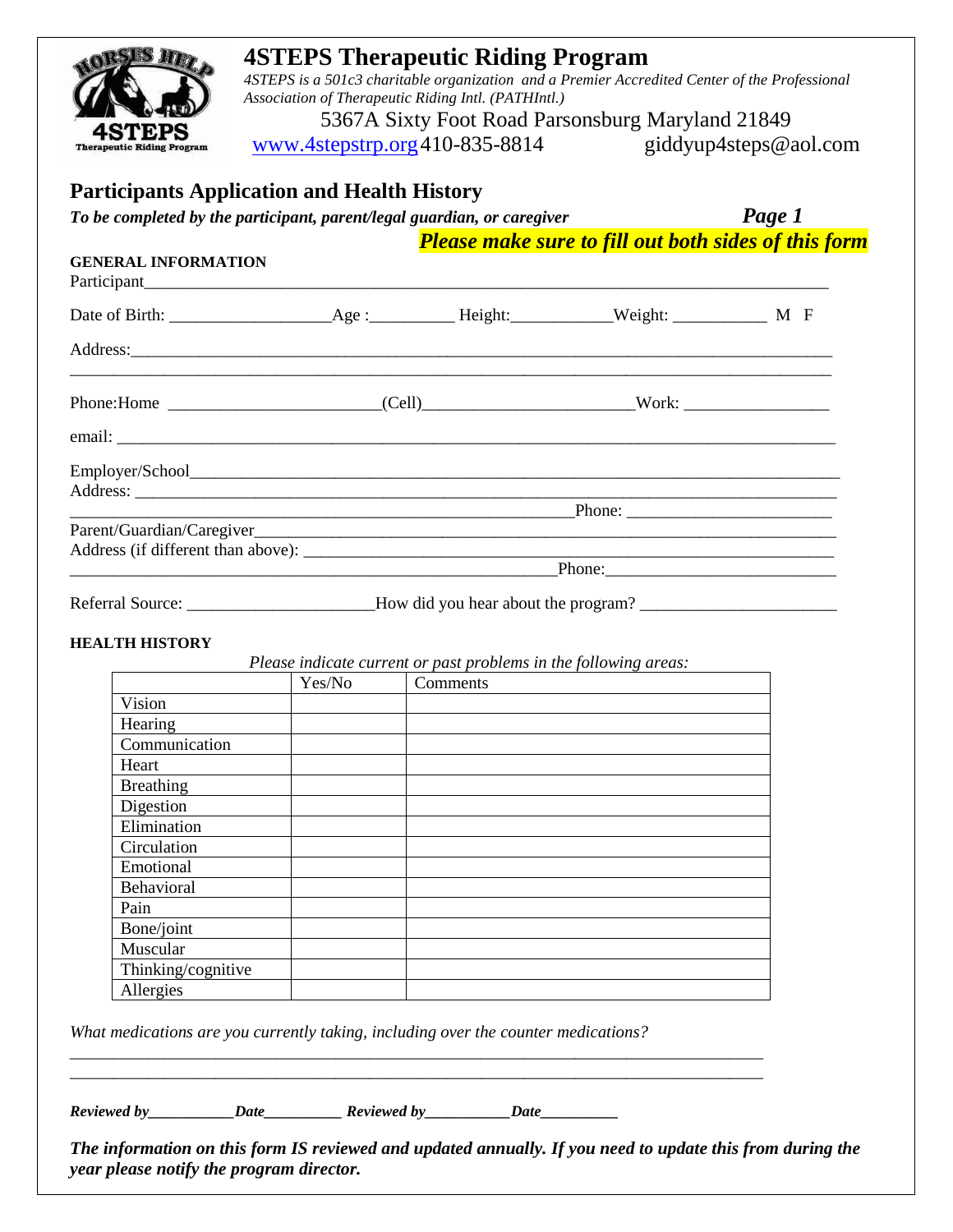

# **4STEPS Therapeutic Riding Program**

*4STEPS is a 501c3 charitable organization and a Premier Accredited Center of the Professional Association of Therapeutic Riding Intl. (PATHIntl.)*

5367A Sixty Foot Road Parsonsburg Maryland 21849 [www.4stepstrp.org4](http://www.4stepstrp.org/)10-835-8814 giddyup4steps@aol.com

### **Participants Application and Health History**

*To be completed by the participant, parent/legal guardian, or caregiver Page 1* 

*Please make sure to fill out both sides of this form*

#### **GENERAL INFORMATION**

| Address: <u>and the second contract of the second contract of the second contract of the second contract of the second contract of the second contract of the second contract of the second contract of the second contract of t</u> |                                                                                                                                                                                                                                     |  |  |  |  |  |
|--------------------------------------------------------------------------------------------------------------------------------------------------------------------------------------------------------------------------------------|-------------------------------------------------------------------------------------------------------------------------------------------------------------------------------------------------------------------------------------|--|--|--|--|--|
|                                                                                                                                                                                                                                      |                                                                                                                                                                                                                                     |  |  |  |  |  |
|                                                                                                                                                                                                                                      |                                                                                                                                                                                                                                     |  |  |  |  |  |
|                                                                                                                                                                                                                                      |                                                                                                                                                                                                                                     |  |  |  |  |  |
|                                                                                                                                                                                                                                      |                                                                                                                                                                                                                                     |  |  |  |  |  |
|                                                                                                                                                                                                                                      | <u>Phone:</u> Phone: Phone: Phone: Phone: Phone: Phone: Phone: Phone: Phone: Phone: Phone: Phone: Phone: Phone: Phone: Phone: Phone: Phone: Phone: Phone: Phone: Phone: Phone: Phone: Phone: Phone: Phone: Phone: Phone: Phone: Pho |  |  |  |  |  |
|                                                                                                                                                                                                                                      |                                                                                                                                                                                                                                     |  |  |  |  |  |
|                                                                                                                                                                                                                                      |                                                                                                                                                                                                                                     |  |  |  |  |  |
|                                                                                                                                                                                                                                      |                                                                                                                                                                                                                                     |  |  |  |  |  |
|                                                                                                                                                                                                                                      | Referral Source: _________________________How did you hear about the program? ______________________                                                                                                                                |  |  |  |  |  |

# **HEALTH HISTORY**

*Please indicate current or past problems in the following areas:*

|                    | Yes/No | Comments |
|--------------------|--------|----------|
| Vision             |        |          |
| Hearing            |        |          |
| Communication      |        |          |
| Heart              |        |          |
| <b>Breathing</b>   |        |          |
| Digestion          |        |          |
| Elimination        |        |          |
| Circulation        |        |          |
| Emotional          |        |          |
| Behavioral         |        |          |
| Pain               |        |          |
| Bone/joint         |        |          |
| Muscular           |        |          |
| Thinking/cognitive |        |          |
| Allergies          |        |          |

*What medications are you currently taking, including over the counter medications?* 

\_\_\_\_\_\_\_\_\_\_\_\_\_\_\_\_\_\_\_\_\_\_\_\_\_\_\_\_\_\_\_\_\_\_\_\_\_\_\_\_\_\_\_\_\_\_\_\_\_\_\_\_\_\_\_\_\_\_\_\_\_\_\_\_\_\_\_\_\_\_\_\_\_\_\_\_\_\_\_\_\_ \_\_\_\_\_\_\_\_\_\_\_\_\_\_\_\_\_\_\_\_\_\_\_\_\_\_\_\_\_\_\_\_\_\_\_\_\_\_\_\_\_\_\_\_\_\_\_\_\_\_\_\_\_\_\_\_\_\_\_\_\_\_\_\_\_\_\_\_\_\_\_\_\_\_\_\_\_\_\_\_\_

*Reviewed by\_\_\_\_\_\_\_\_\_\_\_Date\_\_\_\_\_\_\_\_\_\_ Reviewed by\_\_\_\_\_\_\_\_\_\_\_Date\_\_\_\_\_\_\_\_\_\_* 

*The information on this form IS reviewed and updated annually. If you need to update this from during the year please notify the program director.*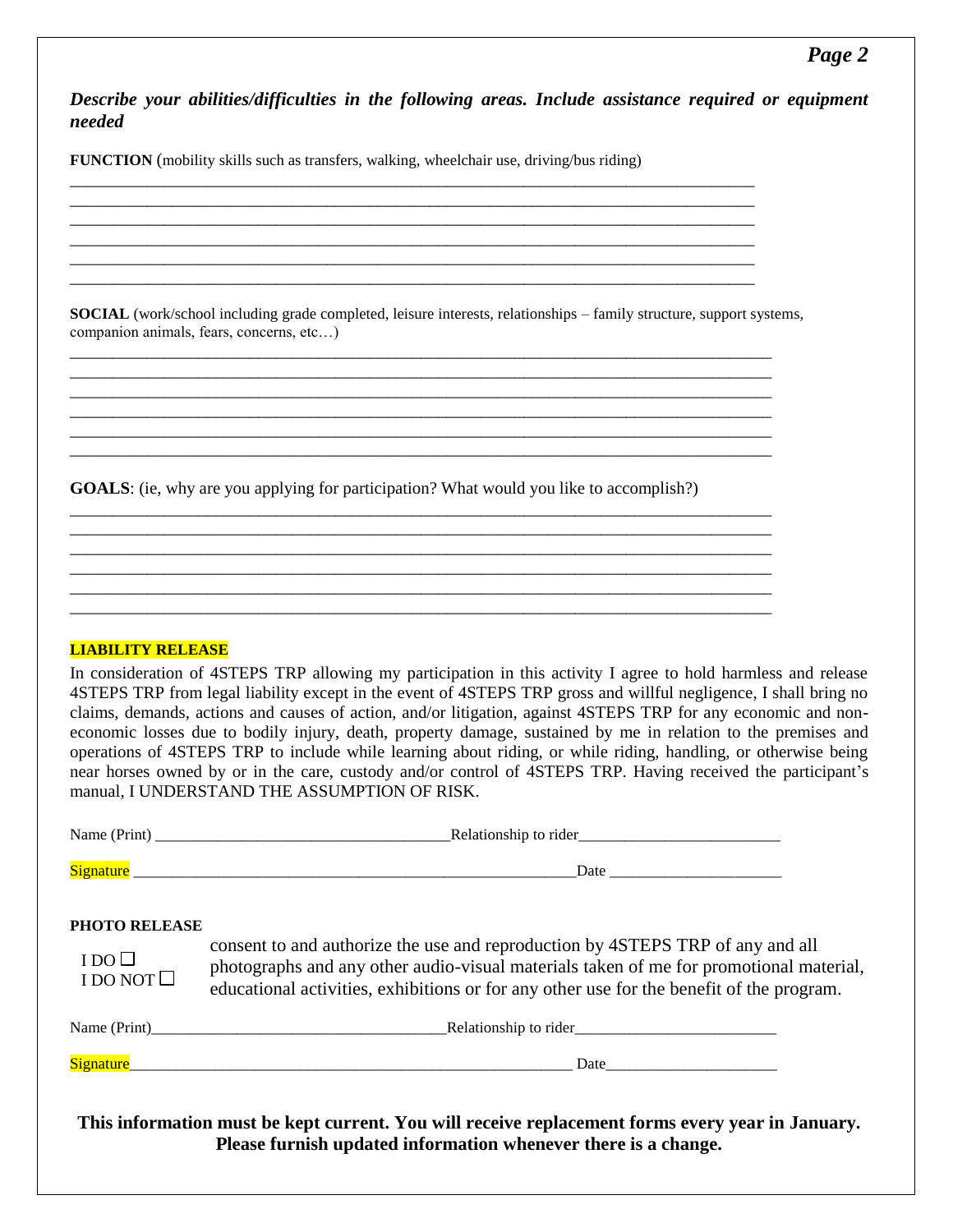### *Page 2*

*Describe your abilities/difficulties in the following areas. Include assistance required or equipment needed*

**FUNCTION** (mobility skills such as transfers, walking, wheelchair use, driving/bus riding)

**SOCIAL** (work/school including grade completed, leisure interests, relationships – family structure, support systems, companion animals, fears, concerns, etc…)

\_\_\_\_\_\_\_\_\_\_\_\_\_\_\_\_\_\_\_\_\_\_\_\_\_\_\_\_\_\_\_\_\_\_\_\_\_\_\_\_\_\_\_\_\_\_\_\_\_\_\_\_\_\_\_\_\_\_\_\_\_\_\_\_\_\_\_\_\_\_\_\_\_\_\_\_\_\_\_\_\_\_ \_\_\_\_\_\_\_\_\_\_\_\_\_\_\_\_\_\_\_\_\_\_\_\_\_\_\_\_\_\_\_\_\_\_\_\_\_\_\_\_\_\_\_\_\_\_\_\_\_\_\_\_\_\_\_\_\_\_\_\_\_\_\_\_\_\_\_\_\_\_\_\_\_\_\_\_\_\_\_\_\_\_ \_\_\_\_\_\_\_\_\_\_\_\_\_\_\_\_\_\_\_\_\_\_\_\_\_\_\_\_\_\_\_\_\_\_\_\_\_\_\_\_\_\_\_\_\_\_\_\_\_\_\_\_\_\_\_\_\_\_\_\_\_\_\_\_\_\_\_\_\_\_\_\_\_\_\_\_\_\_\_\_\_\_ \_\_\_\_\_\_\_\_\_\_\_\_\_\_\_\_\_\_\_\_\_\_\_\_\_\_\_\_\_\_\_\_\_\_\_\_\_\_\_\_\_\_\_\_\_\_\_\_\_\_\_\_\_\_\_\_\_\_\_\_\_\_\_\_\_\_\_\_\_\_\_\_\_\_\_\_\_\_\_\_\_\_ \_\_\_\_\_\_\_\_\_\_\_\_\_\_\_\_\_\_\_\_\_\_\_\_\_\_\_\_\_\_\_\_\_\_\_\_\_\_\_\_\_\_\_\_\_\_\_\_\_\_\_\_\_\_\_\_\_\_\_\_\_\_\_\_\_\_\_\_\_\_\_\_\_\_\_\_\_\_\_\_\_\_ \_\_\_\_\_\_\_\_\_\_\_\_\_\_\_\_\_\_\_\_\_\_\_\_\_\_\_\_\_\_\_\_\_\_\_\_\_\_\_\_\_\_\_\_\_\_\_\_\_\_\_\_\_\_\_\_\_\_\_\_\_\_\_\_\_\_\_\_\_\_\_\_\_\_\_\_\_\_\_\_\_\_

\_\_\_\_\_\_\_\_\_\_\_\_\_\_\_\_\_\_\_\_\_\_\_\_\_\_\_\_\_\_\_\_\_\_\_\_\_\_\_\_\_\_\_\_\_\_\_\_\_\_\_\_\_\_\_\_\_\_\_\_\_\_\_\_\_\_\_\_\_\_\_\_\_\_\_\_\_\_\_\_\_\_ \_\_\_\_\_\_\_\_\_\_\_\_\_\_\_\_\_\_\_\_\_\_\_\_\_\_\_\_\_\_\_\_\_\_\_\_\_\_\_\_\_\_\_\_\_\_\_\_\_\_\_\_\_\_\_\_\_\_\_\_\_\_\_\_\_\_\_\_\_\_\_\_\_\_\_\_\_\_\_\_\_\_ \_\_\_\_\_\_\_\_\_\_\_\_\_\_\_\_\_\_\_\_\_\_\_\_\_\_\_\_\_\_\_\_\_\_\_\_\_\_\_\_\_\_\_\_\_\_\_\_\_\_\_\_\_\_\_\_\_\_\_\_\_\_\_\_\_\_\_\_\_\_\_\_\_\_\_\_\_\_\_\_\_\_ \_\_\_\_\_\_\_\_\_\_\_\_\_\_\_\_\_\_\_\_\_\_\_\_\_\_\_\_\_\_\_\_\_\_\_\_\_\_\_\_\_\_\_\_\_\_\_\_\_\_\_\_\_\_\_\_\_\_\_\_\_\_\_\_\_\_\_\_\_\_\_\_\_\_\_\_\_\_\_\_\_\_ \_\_\_\_\_\_\_\_\_\_\_\_\_\_\_\_\_\_\_\_\_\_\_\_\_\_\_\_\_\_\_\_\_\_\_\_\_\_\_\_\_\_\_\_\_\_\_\_\_\_\_\_\_\_\_\_\_\_\_\_\_\_\_\_\_\_\_\_\_\_\_\_\_\_\_\_\_\_\_\_\_\_ \_\_\_\_\_\_\_\_\_\_\_\_\_\_\_\_\_\_\_\_\_\_\_\_\_\_\_\_\_\_\_\_\_\_\_\_\_\_\_\_\_\_\_\_\_\_\_\_\_\_\_\_\_\_\_\_\_\_\_\_\_\_\_\_\_\_\_\_\_\_\_\_\_\_\_\_\_\_\_\_\_\_

\_\_\_\_\_\_\_\_\_\_\_\_\_\_\_\_\_\_\_\_\_\_\_\_\_\_\_\_\_\_\_\_\_\_\_\_\_\_\_\_\_\_\_\_\_\_\_\_\_\_\_\_\_\_\_\_\_\_\_\_\_\_\_\_\_\_\_\_\_\_\_\_\_\_\_\_\_\_\_\_ \_\_\_\_\_\_\_\_\_\_\_\_\_\_\_\_\_\_\_\_\_\_\_\_\_\_\_\_\_\_\_\_\_\_\_\_\_\_\_\_\_\_\_\_\_\_\_\_\_\_\_\_\_\_\_\_\_\_\_\_\_\_\_\_\_\_\_\_\_\_\_\_\_\_\_\_\_\_\_\_ \_\_\_\_\_\_\_\_\_\_\_\_\_\_\_\_\_\_\_\_\_\_\_\_\_\_\_\_\_\_\_\_\_\_\_\_\_\_\_\_\_\_\_\_\_\_\_\_\_\_\_\_\_\_\_\_\_\_\_\_\_\_\_\_\_\_\_\_\_\_\_\_\_\_\_\_\_\_\_\_ \_\_\_\_\_\_\_\_\_\_\_\_\_\_\_\_\_\_\_\_\_\_\_\_\_\_\_\_\_\_\_\_\_\_\_\_\_\_\_\_\_\_\_\_\_\_\_\_\_\_\_\_\_\_\_\_\_\_\_\_\_\_\_\_\_\_\_\_\_\_\_\_\_\_\_\_\_\_\_\_ \_\_\_\_\_\_\_\_\_\_\_\_\_\_\_\_\_\_\_\_\_\_\_\_\_\_\_\_\_\_\_\_\_\_\_\_\_\_\_\_\_\_\_\_\_\_\_\_\_\_\_\_\_\_\_\_\_\_\_\_\_\_\_\_\_\_\_\_\_\_\_\_\_\_\_\_\_\_\_\_ \_\_\_\_\_\_\_\_\_\_\_\_\_\_\_\_\_\_\_\_\_\_\_\_\_\_\_\_\_\_\_\_\_\_\_\_\_\_\_\_\_\_\_\_\_\_\_\_\_\_\_\_\_\_\_\_\_\_\_\_\_\_\_\_\_\_\_\_\_\_\_\_\_\_\_\_\_\_\_\_

**GOALS**: (ie, why are you applying for participation? What would you like to accomplish?)

#### **LIABILITY RELEASE**

In consideration of 4STEPS TRP allowing my participation in this activity I agree to hold harmless and release 4STEPS TRP from legal liability except in the event of 4STEPS TRP gross and willful negligence, I shall bring no claims, demands, actions and causes of action, and/or litigation, against 4STEPS TRP for any economic and noneconomic losses due to bodily injury, death, property damage, sustained by me in relation to the premises and operations of 4STEPS TRP to include while learning about riding, or while riding, handling, or otherwise being near horses owned by or in the care, custody and/or control of 4STEPS TRP. Having received the participant's manual, I UNDERSTAND THE ASSUMPTION OF RISK.

| PHOTO RELEASE<br>$I DO \Box$<br>I DO NOT $\square$ | consent to and authorize the use and reproduction by 4STEPS TRP of any and all<br>photographs and any other audio-visual materials taken of me for promotional material,<br>educational activities, exhibitions or for any other use for the benefit of the program. |  |  |  |  |
|----------------------------------------------------|----------------------------------------------------------------------------------------------------------------------------------------------------------------------------------------------------------------------------------------------------------------------|--|--|--|--|
|                                                    |                                                                                                                                                                                                                                                                      |  |  |  |  |
|                                                    |                                                                                                                                                                                                                                                                      |  |  |  |  |
|                                                    | This information must be kept current. You will receive replacement forms every year in January.<br>Please furnish updated information whenever there is a change.                                                                                                   |  |  |  |  |